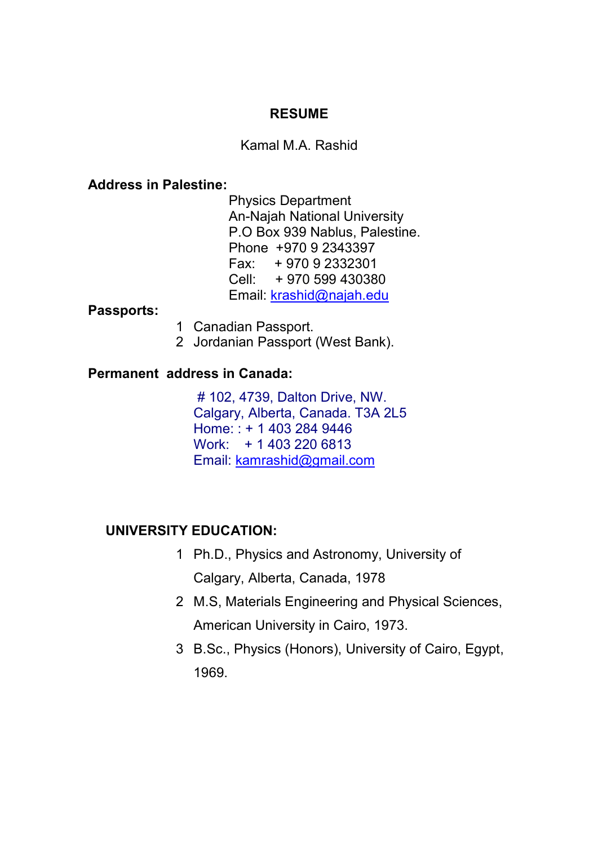## **RESUME**

### Kamal M.A. Rashid

### **Address in Palestine:**

 Physics Department An-Najah National University P.O Box 939 Nablus, Palestine. Phone +970 9 2343397 Fax: + 970 9 2332301 Cell: + 970 599 430380 Email: krashid@najah.edu

#### **Passports:**

- 1 Canadian Passport.
- 2 Jordanian Passport (West Bank).

## **Permanent address in Canada:**

 # 102, 4739, Dalton Drive, NW. Calgary, Alberta, Canada. T3A 2L5 Home: : + 1 403 284 9446 Work: + 1 403 220 6813 Email: kamrashid@gmail.com

## **UNIVERSITY EDUCATION:**

- 1 Ph.D., Physics and Astronomy, University of Calgary, Alberta, Canada, 1978
- 2 M.S, Materials Engineering and Physical Sciences, American University in Cairo, 1973.
- 3 B.Sc., Physics (Honors), University of Cairo, Egypt, 1969.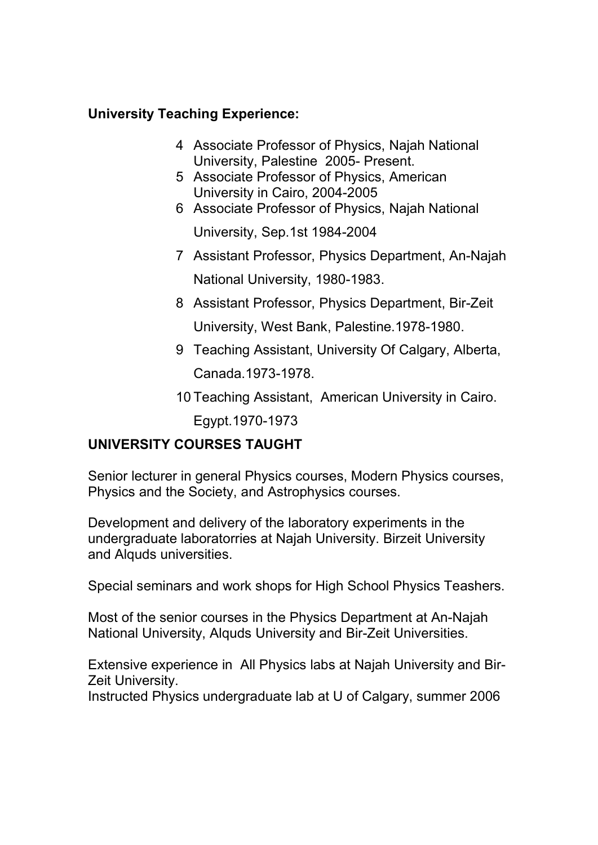## **University Teaching Experience:**

- 4 Associate Professor of Physics, Najah National University, Palestine 2005- Present.
- 5 Associate Professor of Physics, American University in Cairo, 2004-2005
- 6 Associate Professor of Physics, Najah National University, Sep.1st 1984-2004
- 7 Assistant Professor, Physics Department, An-Najah National University, 1980-1983.
- 8 Assistant Professor, Physics Department, Bir-Zeit University, West Bank, Palestine.1978-1980.
- 9 Teaching Assistant, University Of Calgary, Alberta, Canada.1973-1978.
- 10 Teaching Assistant, American University in Cairo.

Egypt.1970-1973

# **UNIVERSITY COURSES TAUGHT**

Senior lecturer in general Physics courses, Modern Physics courses, Physics and the Society, and Astrophysics courses.

Development and delivery of the laboratory experiments in the undergraduate laboratorries at Najah University. Birzeit University and Alquds universities.

Special seminars and work shops for High School Physics Teashers.

Most of the senior courses in the Physics Department at An-Najah National University, Alquds University and Bir-Zeit Universities.

Extensive experience in All Physics labs at Najah University and Bir-Zeit University.

Instructed Physics undergraduate lab at U of Calgary, summer 2006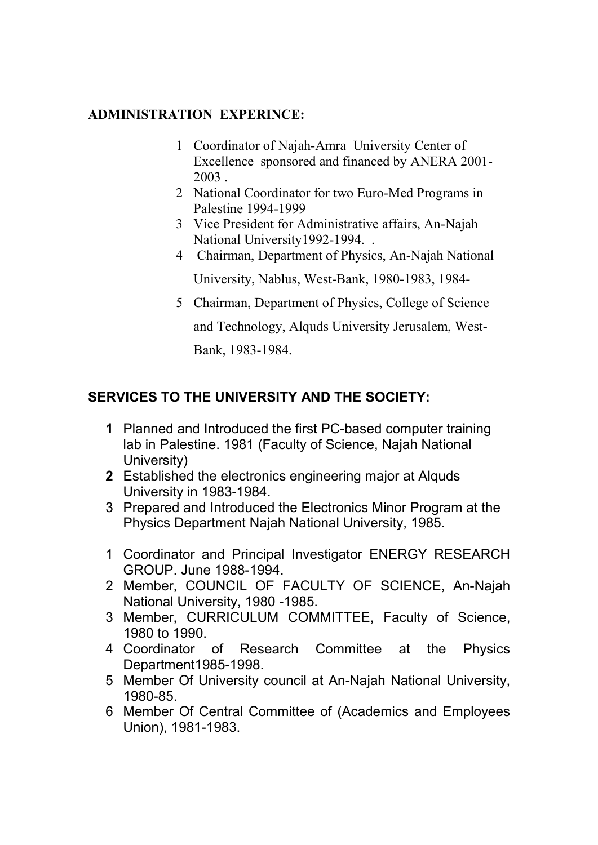### **ADMINISTRATION EXPERINCE:**

- 1 Coordinator of Najah-Amra University Center of Excellence sponsored and financed by ANERA 2001- 2003 .
- 2 National Coordinator for two Euro-Med Programs in Palestine 1994-1999
- 3 Vice President for Administrative affairs, An-Najah National University1992-1994. .
- 4 Chairman, Department of Physics, An-Najah National University, Nablus, West-Bank, 1980-1983, 1984-
- 5 Chairman, Department of Physics, College of Science

and Technology, Alquds University Jerusalem, West-

Bank, 1983-1984.

# **SERVICES TO THE UNIVERSITY AND THE SOCIETY:**

- **1** Planned and Introduced the first PC-based computer training lab in Palestine. 1981 (Faculty of Science, Najah National University)
- **2** Established the electronics engineering major at Alquds University in 1983-1984.
- 3 Prepared and Introduced the Electronics Minor Program at the Physics Department Najah National University, 1985.
- 1 Coordinator and Principal Investigator ENERGY RESEARCH GROUP. June 1988-1994.
- 2 Member, COUNCIL OF FACULTY OF SCIENCE, An-Najah National University, 1980 -1985.
- 3 Member, CURRICULUM COMMITTEE, Faculty of Science, 1980 to 1990.
- 4 Coordinator of Research Committee at the Physics Department1985-1998.
- 5 Member Of University council at An-Najah National University, 1980-85.
- 6 Member Of Central Committee of (Academics and Employees Union), 1981-1983.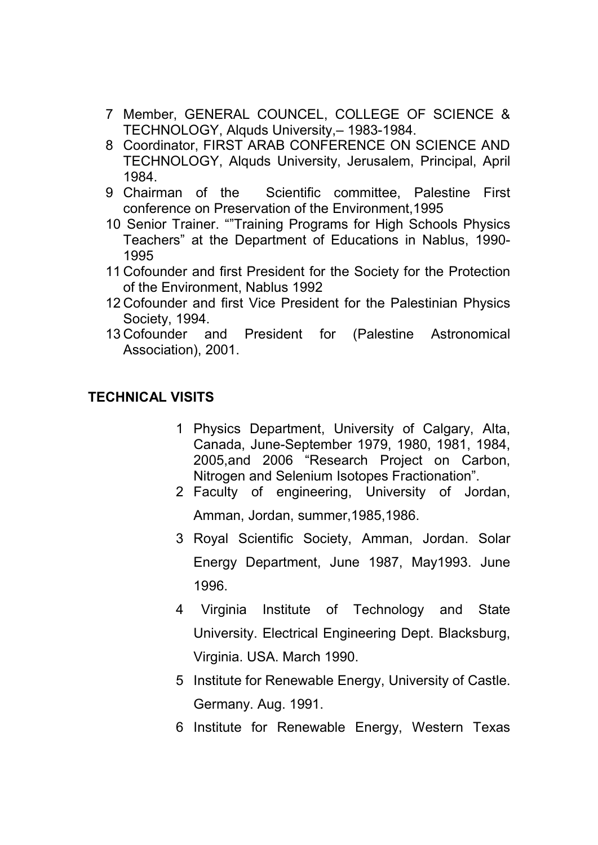- 7 Member, GENERAL COUNCEL, COLLEGE OF SCIENCE & TECHNOLOGY, Alquds University,– 1983-1984.
- 8 Coordinator, FIRST ARAB CONFERENCE ON SCIENCE AND TECHNOLOGY, Alquds University, Jerusalem, Principal, April 1984.
- 9 Chairman of the Scientific committee, Palestine First conference on Preservation of the Environment,1995
- 10 Senior Trainer. ""Training Programs for High Schools Physics Teachers" at the Department of Educations in Nablus, 1990- 1995
- 11 Cofounder and first President for the Society for the Protection of the Environment, Nablus 1992
- 12 Cofounder and first Vice President for the Palestinian Physics Society, 1994.
- 13 Cofounder and President for (Palestine Astronomical Association), 2001.

# **TECHNICAL VISITS**

- 1 Physics Department, University of Calgary, Alta, Canada, June-September 1979, 1980, 1981, 1984, 2005,and 2006 "Research Project on Carbon, Nitrogen and Selenium Isotopes Fractionation".
- 2 Faculty of engineering, University of Jordan, Amman, Jordan, summer,1985,1986.
- 3 Royal Scientific Society, Amman, Jordan. Solar Energy Department, June 1987, May1993. June 1996.
- 4 Virginia Institute of Technology and State University. Electrical Engineering Dept. Blacksburg, Virginia. USA. March 1990.
- 5 Institute for Renewable Energy, University of Castle. Germany. Aug. 1991.
- 6 Institute for Renewable Energy, Western Texas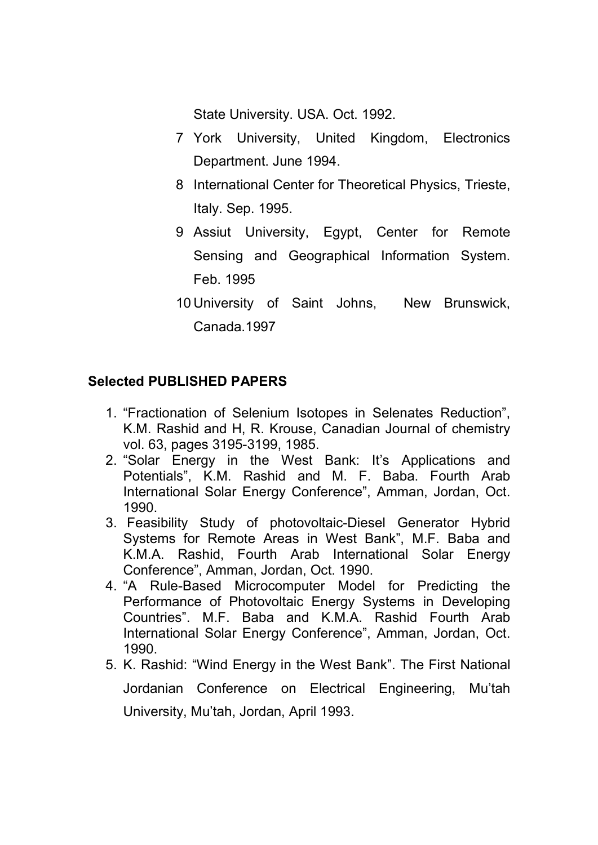State University. USA. Oct. 1992.

- 7 York University, United Kingdom, Electronics Department. June 1994.
- 8 International Center for Theoretical Physics, Trieste, Italy. Sep. 1995.
- 9 Assiut University, Egypt, Center for Remote Sensing and Geographical Information System. Feb. 1995
- 10 University of Saint Johns, New Brunswick, Canada.1997

# **Selected PUBLISHED PAPERS**

- 1. "Fractionation of Selenium Isotopes in Selenates Reduction", K.M. Rashid and H, R. Krouse, Canadian Journal of chemistry vol. 63, pages 3195-3199, 1985.
- 2. "Solar Energy in the West Bank: It's Applications and Potentials", K.M. Rashid and M. F. Baba. Fourth Arab International Solar Energy Conference", Amman, Jordan, Oct. 1990.
- 3. Feasibility Study of photovoltaic-Diesel Generator Hybrid Systems for Remote Areas in West Bank", M.F. Baba and K.M.A. Rashid, Fourth Arab International Solar Energy Conference", Amman, Jordan, Oct. 1990.
- 4. "A Rule-Based Microcomputer Model for Predicting the Performance of Photovoltaic Energy Systems in Developing Countries". M.F. Baba and K.M.A. Rashid Fourth Arab International Solar Energy Conference", Amman, Jordan, Oct. 1990.
- 5. K. Rashid: "Wind Energy in the West Bank". The First National Jordanian Conference on Electrical Engineering, Mu'tah University, Mu'tah, Jordan, April 1993.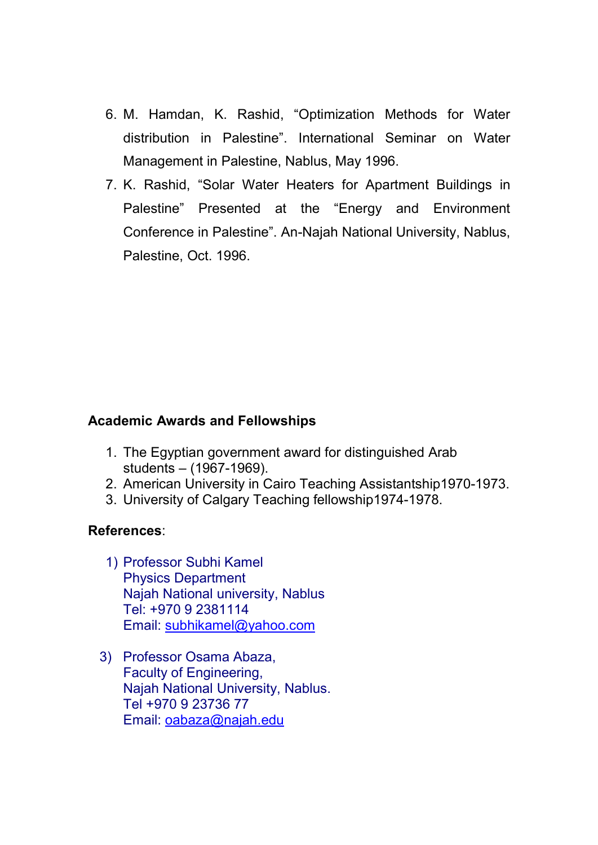- 6. M. Hamdan, K. Rashid, "Optimization Methods for Water distribution in Palestine". International Seminar on Water Management in Palestine, Nablus, May 1996.
- 7. K. Rashid, "Solar Water Heaters for Apartment Buildings in Palestine" Presented at the "Energy and Environment Conference in Palestine". An-Najah National University, Nablus, Palestine, Oct. 1996.

## **Academic Awards and Fellowships**

- 1. The Egyptian government award for distinguished Arab students – (1967-1969).
- 2. American University in Cairo Teaching Assistantship1970-1973.
- 3. University of Calgary Teaching fellowship1974-1978.

### **References**:

- 1) Professor Subhi Kamel Physics Department Najah National university, Nablus Tel: +970 9 2381114 Email: subhikamel@yahoo.com
- 3) Professor Osama Abaza, Faculty of Engineering, Najah National University, Nablus. Tel +970 9 23736 77 Email: oabaza@najah.edu